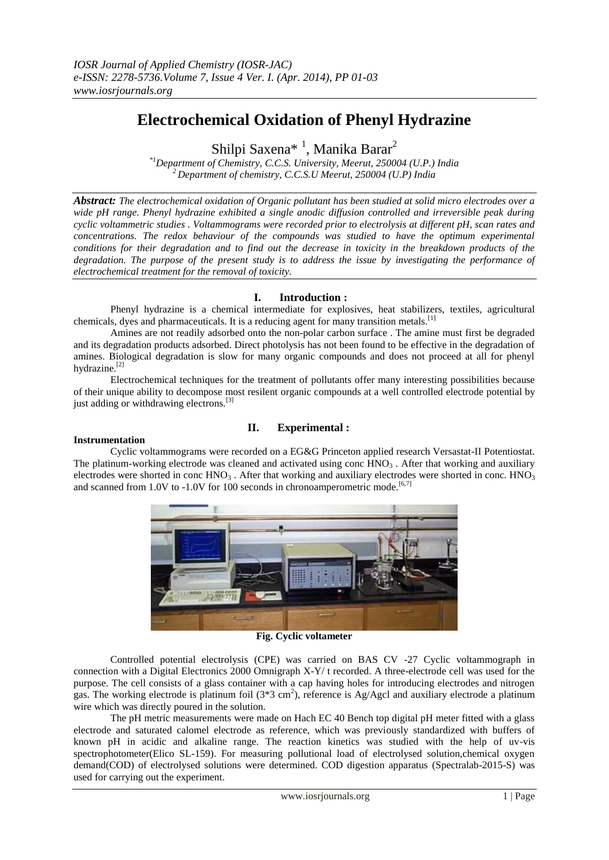# **Electrochemical Oxidation of Phenyl Hydrazine**

Shilpi Saxena<sup>\* 1</sup>, Manika Barar<sup>2</sup>

*\*1Department of Chemistry, C.C.S. University, Meerut, 250004 (U.P.) India <sup>2</sup>Department of chemistry, C.C.S.U Meerut, 250004 (U.P) India*

*Abstract: The electrochemical oxidation of Organic pollutant has been studied at solid micro electrodes over a wide pH range. Phenyl hydrazine exhibited a single anodic diffusion controlled and irreversible peak during cyclic voltammetric studies . Voltammograms were recorded prior to electrolysis at different pH, scan rates and concentrations. The redox behaviour of the compounds was studied to have the optimum experimental conditions for their degradation and to find out the decrease in toxicity in the breakdown products of the degradation. The purpose of the present study is to address the issue by investigating the performance of electrochemical treatment for the removal of toxicity.* 

## **I. Introduction :**

Phenyl hydrazine is a chemical intermediate for explosives, heat stabilizers, textiles, agricultural chemicals, dyes and pharmaceuticals. It is a reducing agent for many transition metals.<sup>[1]</sup>

Amines are not readily adsorbed onto the non-polar carbon surface . The amine must first be degraded and its degradation products adsorbed. Direct photolysis has not been found to be effective in the degradation of amines. Biological degradation is slow for many organic compounds and does not proceed at all for phenyl hydrazine.[2]

Electrochemical techniques for the treatment of pollutants offer many interesting possibilities because of their unique ability to decompose most resilent organic compounds at a well controlled electrode potential by just adding or withdrawing electrons.<sup>[3]</sup>

# **II. Experimental :**

## **Instrumentation**

Cyclic voltammograms were recorded on a EG&G Princeton applied research Versastat-II Potentiostat. The platinum-working electrode was cleaned and activated using conc  $\text{HNO}_3$ . After that working and auxiliary electrodes were shorted in conc  $HNO<sub>3</sub>$ . After that working and auxiliary electrodes were shorted in conc.  $HNO<sub>3</sub>$ and scanned from 1.0V to -1.0V for 100 seconds in chronoamperometric mode.<sup>[6,7]</sup>



**Fig. Cyclic voltameter**

Controlled potential electrolysis (CPE) was carried on BAS CV -27 Cyclic voltammograph in connection with a Digital Electronics 2000 Omnigraph X-Y/ t recorded. A three-electrode cell was used for the purpose. The cell consists of a glass container with a cap having holes for introducing electrodes and nitrogen gas. The working electrode is platinum foil  $(3*3 \text{ cm}^2)$ , reference is Ag/Agcl and auxiliary electrode a platinum wire which was directly poured in the solution.

The pH metric measurements were made on Hach EC 40 Bench top digital pH meter fitted with a glass electrode and saturated calomel electrode as reference, which was previously standardized with buffers of known pH in acidic and alkaline range. The reaction kinetics was studied with the help of uv-vis spectrophotometer(Elico SL-159). For measuring pollutional load of electrolysed solution,chemical oxygen demand(COD) of electrolysed solutions were determined. COD digestion apparatus (Spectralab-2015-S) was used for carrying out the experiment.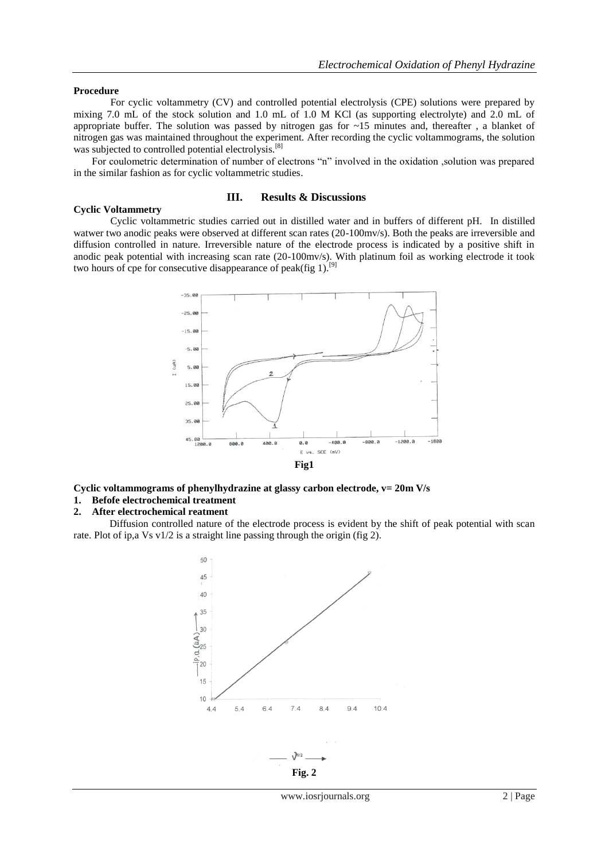#### **Procedure**

**Cyclic Voltammetry**

For cyclic voltammetry (CV) and controlled potential electrolysis (CPE) solutions were prepared by mixing 7.0 mL of the stock solution and 1.0 mL of 1.0 M KCl (as supporting electrolyte) and 2.0 mL of appropriate buffer. The solution was passed by nitrogen gas for  $\sim$ 15 minutes and, thereafter, a blanket of nitrogen gas was maintained throughout the experiment. After recording the cyclic voltammograms, the solution was subjected to controlled potential electrolysis.<sup>[8]</sup>

For coulometric determination of number of electrons "n" involved in the oxidation ,solution was prepared in the similar fashion as for cyclic voltammetric studies.

## **III. Results & Discussions**

Cyclic voltammetric studies carried out in distilled water and in buffers of different pH. In distilled watwer two anodic peaks were observed at different scan rates (20-100mv/s). Both the peaks are irreversible and diffusion controlled in nature. Irreversible nature of the electrode process is indicated by a positive shift in anodic peak potential with increasing scan rate (20-100mv/s). With platinum foil as working electrode it took two hours of cpe for consecutive disappearance of peak(fig 1).<sup>[9]</sup>



**Cyclic voltammograms of phenylhydrazine at glassy carbon electrode, v= 20m V/s 1. Befofe electrochemical treatment**

**2. After electrochemical reatment**

 Diffusion controlled nature of the electrode process is evident by the shift of peak potential with scan rate. Plot of ip,a Vs v1/2 is a straight line passing through the origin (fig 2).